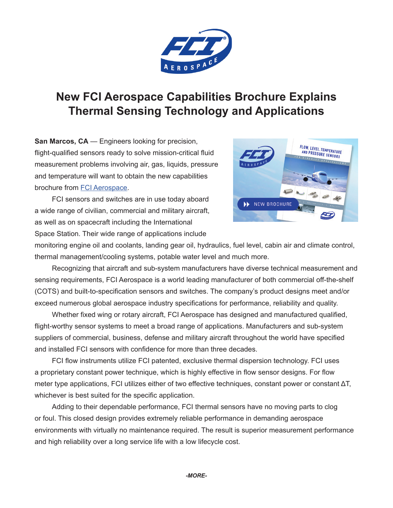

## **New FCI Aerospace Capabilities Brochure Explains Thermal Sensing Technology and Applications**

**San Marcos, CA** — Engineers looking for precision, flight-qualified sensors ready to solve mission-critical fluid measurement problems involving air, gas, liquids, pressure and temperature will want to obtain the new capabilities brochure from [FCI Aerospace](https://www.fluidcomponents.com/aerospace/aerospace-home).

FCI sensors and switches are in use today aboard a wide range of civilian, commercial and military aircraft, as well as on spacecraft including the International Space Station. Their wide range of applications include



monitoring engine oil and coolants, landing gear oil, hydraulics, fuel level, cabin air and climate control, thermal management/cooling systems, potable water level and much more.

Recognizing that aircraft and sub-system manufacturers have diverse technical measurement and sensing requirements, FCI Aerospace is a world leading manufacturer of both commercial off-the-shelf (COTS) and built-to-specification sensors and switches. The company's product designs meet and/or exceed numerous global aerospace industry specifications for performance, reliability and quality.

Whether fixed wing or rotary aircraft, FCI Aerospace has designed and manufactured qualified, flight-worthy sensor systems to meet a broad range of applications. Manufacturers and sub-system suppliers of commercial, business, defense and military aircraft throughout the world have specified and installed FCI sensors with confidence for more than three decades.

FCI flow instruments utilize FCI patented, exclusive thermal dispersion technology. FCI uses a proprietary constant power technique, which is highly effective in flow sensor designs. For flow meter type applications, FCI utilizes either of two effective techniques, constant power or constant ΔT, whichever is best suited for the specific application.

Adding to their dependable performance, FCI thermal sensors have no moving parts to clog or foul. This closed design provides extremely reliable performance in demanding aerospace environments with virtually no maintenance required. The result is superior measurement performance and high reliability over a long service life with a low lifecycle cost.